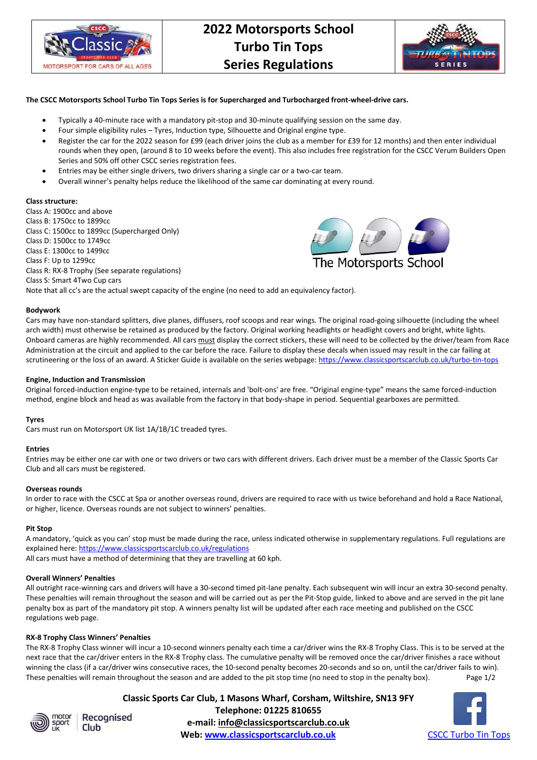

# **2022 Motorsports School Turbo Tin Tops Series Regulations**



# **The CSCC Motorsports School Turbo Tin Tops Series is for Supercharged and Turbocharged front-wheel-drive cars.**

- Typically a 40-minute race with a mandatory pit-stop and 30-minute qualifying session on the same day.
- Four simple eligibility rules Tyres, Induction type, Silhouette and Original engine type.
- Register the car for the 2022 season for £99 (each driver joins the club as a member for £39 for 12 months) and then enter individual rounds when they open, (around 8 to 10 weeks before the event). This also includes free registration for the CSCC Verum Builders Open Series and 50% off other CSCC series registration fees.
- Entries may be either single drivers, two drivers sharing a single car or a two-car team.
- Overall winner's penalty helps reduce the likelihood of the same car dominating at every round.

## **Class structure:**

Class A: 1900cc and above Class B: 1750cc to 1899cc Class C: 1500cc to 1899cc (Supercharged Only) Class D: 1500cc to 1749cc Class E: 1300cc to 1499cc Class F: Up to 1299cc Class R: RX-8 Trophy (See separate regulations) Class S: Smart 4Two Cup cars Note that all cc's are the actual swept capacity of the engine (no need to add an equivalency factor).



#### **Bodywork**

Cars may have non-standard splitters, dive planes, diffusers, roof scoops and rear wings. The original road-going silhouette (including the wheel arch width) must otherwise be retained as produced by the factory. Original working headlights or headlight covers and bright, white lights. Onboard cameras are highly recommended. All cars must display the correct stickers, these will need to be collected by the driver/team from Race Administration at the circuit and applied to the car before the race. Failure to display these decals when issued may result in the car failing at scrutineering or the loss of an award. A Sticker Guide is available on the series webpage: https://www.classicsportscarclub.co.uk/turbo-tin-tops

#### **Engine, Induction and Transmission**

Original forced-induction engine-type to be retained, internals and 'bolt-ons' are free. "Original engine-type" means the same forced-induction method, engine block and head as was available from the factory in that body-shape in period. Sequential gearboxes are permitted.

#### **Tyres**

Cars must run on Motorsport UK list 1A/1B/1C treaded tyres.

#### **Entries**

Entries may be either one car with one or two drivers or two cars with different drivers. Each driver must be a member of the Classic Sports Car Club and all cars must be registered.

#### **Overseas rounds**

In order to race with the CSCC at Spa or another overseas round, drivers are required to race with us twice beforehand and hold a Race National, or higher, licence. Overseas rounds are not subject to winners' penalties.

#### **Pit Stop**

A mandatory, 'quick as you can' stop must be made during the race, unless indicated otherwise in supplementary regulations. Full regulations are explained here: https://www.classicsportscarclub.co.uk/regulations

All cars must have a method of determining that they are travelling at 60 kph.

# **Overall Winners' Penalties**

All outright race-winning cars and drivers will have a 30-second timed pit-lane penalty. Each subsequent win will incur an extra 30-second penalty. These penalties will remain throughout the season and will be carried out as per the Pit-Stop guide, linked to above and are served in the pit lane penalty box as part of the mandatory pit stop. A winners penalty list will be updated after each race meeting and published on the CSCC regulations web page.

#### **RX-8 Trophy Class Winners' Penalties**

The RX-8 Trophy Class winner will incur a 10-second winners penalty each time a car/driver wins the RX-8 Trophy Class. This is to be served at the next race that the car/driver enters in the RX-8 Trophy class. The cumulative penalty will be removed once the car/driver finishes a race without winning the class (if a car/driver wins consecutive races, the 10-second penalty becomes 20-seconds and so on, until the car/driver fails to win). These penalties will remain throughout the season and are added to the pit stop time (no need to stop in the penalty box). Page 1/2



Recognised

**Classic Sports Car Club, 1 Masons Wharf, Corsham, Wiltshire, SN13 9FY Telephone: 01225 810655 e-mail: info@classicsportscarclub.co.uk Club** Communication of the control of the club control of the club control of the control of the control of the c<br> **CSCC Turbo Tin Tops CSCC Turbo Tin Tops**